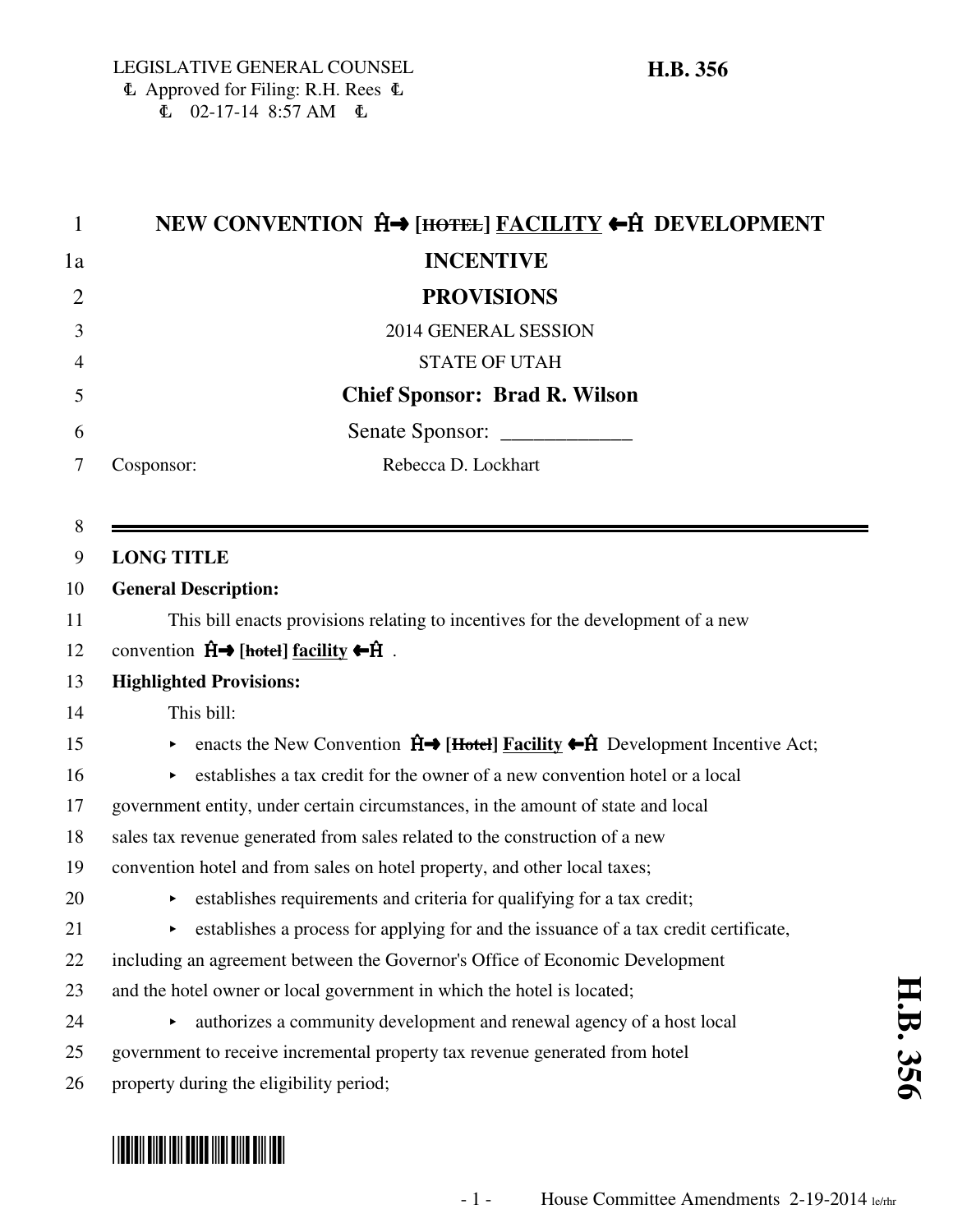$E = 02-17-14$  8:57 AM  $E =$ 

| $\mathbf{1}$   | NEW CONVENTION Ĥ→ [HOTEL] FACILITY ←Ĥ DEVELOPMENT                                                                            |
|----------------|------------------------------------------------------------------------------------------------------------------------------|
| 1a             | <b>INCENTIVE</b>                                                                                                             |
| $\overline{2}$ | <b>PROVISIONS</b>                                                                                                            |
| 3              | 2014 GENERAL SESSION                                                                                                         |
| 4              | <b>STATE OF UTAH</b>                                                                                                         |
| 5              | <b>Chief Sponsor: Brad R. Wilson</b>                                                                                         |
| 6              | Senate Sponsor: ______________                                                                                               |
| 7              | Rebecca D. Lockhart<br>Cosponsor:                                                                                            |
|                |                                                                                                                              |
| 8              |                                                                                                                              |
| 9              | <b>LONG TITLE</b>                                                                                                            |
| 10             | <b>General Description:</b>                                                                                                  |
| 11             | This bill enacts provisions relating to incentives for the development of a new                                              |
| 12             | convention $\hat{H} \rightarrow$ [hotel] <u>facility</u> $\leftarrow \hat{H}$ .                                              |
| 13             | <b>Highlighted Provisions:</b>                                                                                               |
| 14             | This bill:                                                                                                                   |
| 15             | enacts the New Convention $\hat{H} \rightarrow$ [Hotel] <b>Facility</b> $\leftarrow \hat{H}$ Development Incentive Act;<br>► |
| 16             | establishes a tax credit for the owner of a new convention hotel or a local                                                  |
| 17             | government entity, under certain circumstances, in the amount of state and local                                             |
| 18             | sales tax revenue generated from sales related to the construction of a new                                                  |
| 19             | convention hotel and from sales on hotel property, and other local taxes;                                                    |
| 20             | establishes requirements and criteria for qualifying for a tax credit;                                                       |
| 21             | establishes a process for applying for and the issuance of a tax credit certificate,<br>Þ.                                   |
| 22             | including an agreement between the Governor's Office of Economic Development                                                 |
| 23             | and the hotel owner or local government in which the hotel is located;                                                       |
| 24             | authorizes a community development and renewal agency of a host local<br>Þ.                                                  |
| 25             | government to receive incremental property tax revenue generated from hotel                                                  |
| 26             | property during the eligibility period;                                                                                      |

# \*HB0356\*

**H.B. 356**

H.B. 356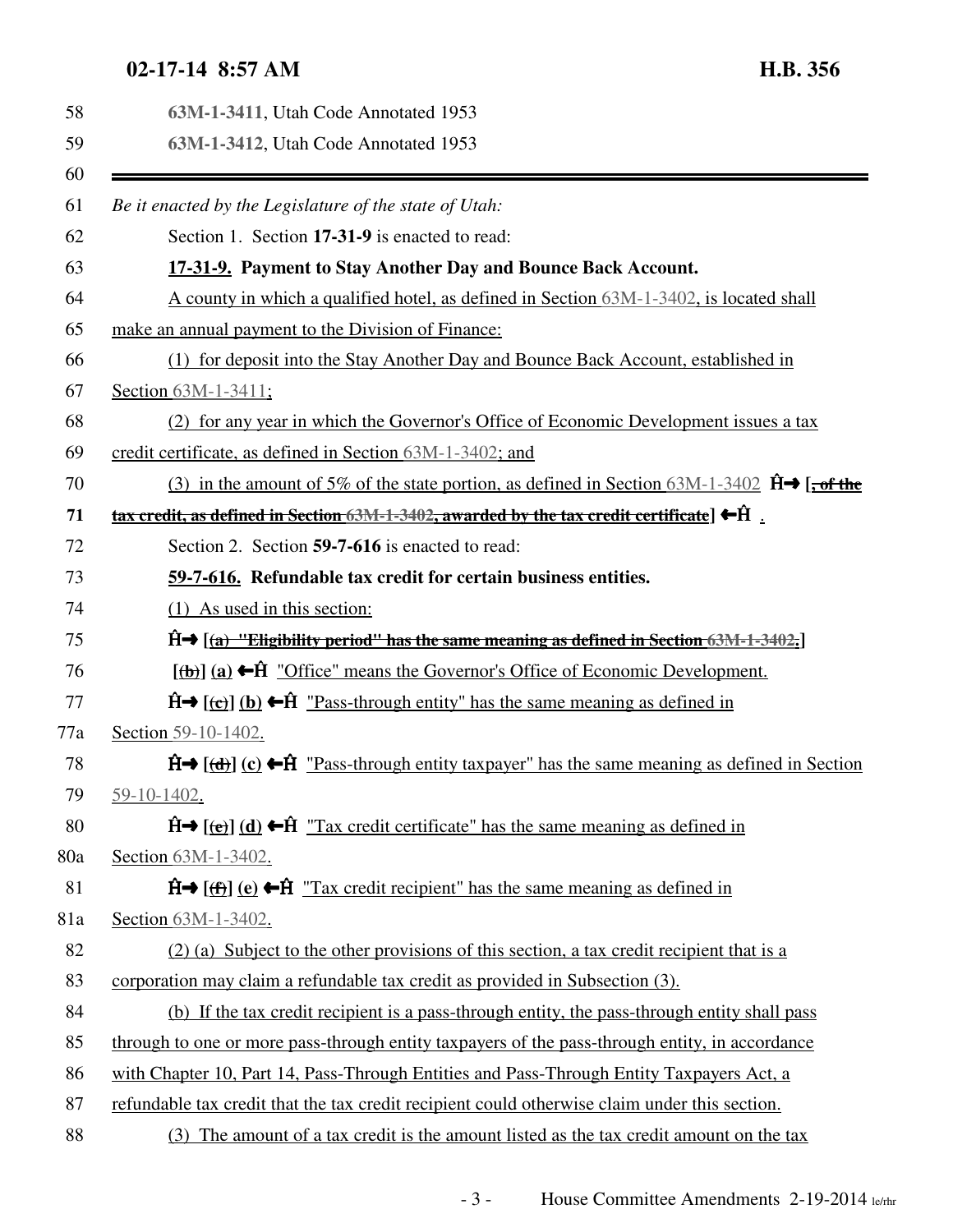## **02-17-14 8:57 AM H.B. 356**

| 58  | 63M-1-3411, Utah Code Annotated 1953                                                                                         |
|-----|------------------------------------------------------------------------------------------------------------------------------|
| 59  | 63M-1-3412, Utah Code Annotated 1953                                                                                         |
| 60  |                                                                                                                              |
| 61  | Be it enacted by the Legislature of the state of Utah:                                                                       |
| 62  | Section 1. Section 17-31-9 is enacted to read:                                                                               |
| 63  | 17-31-9. Payment to Stay Another Day and Bounce Back Account.                                                                |
| 64  | A county in which a qualified hotel, as defined in Section 63M-1-3402, is located shall                                      |
| 65  | make an annual payment to the Division of Finance:                                                                           |
| 66  | (1) for deposit into the Stay Another Day and Bounce Back Account, established in                                            |
| 67  | Section 63M-1-3411;                                                                                                          |
| 68  | (2) for any year in which the Governor's Office of Economic Development issues a tax                                         |
| 69  | credit certificate, as defined in Section 63M-1-3402; and                                                                    |
| 70  | (3) in the amount of 5% of the state portion, as defined in Section 63M-1-3402 $\hat{H} \rightarrow$ [, of the               |
| 71  | <u>tax credit, as defined in Section 63M-1-3402, awarded by the tax credit certificate</u> $\blacktriangleright$ $\hat{H}$ . |
| 72  | Section 2. Section 59-7-616 is enacted to read:                                                                              |
| 73  | 59-7-616. Refundable tax credit for certain business entities.                                                               |
| 74  | (1) As used in this section:                                                                                                 |
| 75  | $\hat{H}$ $\rightarrow$ $\left[\left(a\right)$ "Eligibility period" has the same meaning as defined in Section 63M-1-3402.   |
| 76  | $[\phi]$ (a) $\leftarrow$ $\hat{H}$ "Office" means the Governor's Office of Economic Development.                            |
| 77  | $\hat{H}$ (c) (b) $\leftarrow \hat{H}$ "Pass-through entity" has the same meaning as defined in                              |
| 77a | Section 59-10-1402.                                                                                                          |
| 78  | $\hat{H}$ (d) (c) $\leftarrow$ $\hat{H}$ "Pass-through entity taxpayer" has the same meaning as defined in Section           |
| 79  | 59-10-1402.                                                                                                                  |
| 80  | $\hat{H}$ (e) (d) $\leftarrow \hat{H}$ "Tax credit certificate" has the same meaning as defined in                           |
| 80a | Section 63M-1-3402.                                                                                                          |
| 81  | $\hat{H}$ (the $\hat{H}$ ) (e) $\leftarrow \hat{H}$ "Tax credit recipient" has the same meaning as defined in                |
| 81a | Section 63M-1-3402.                                                                                                          |
| 82  | (2) (a) Subject to the other provisions of this section, a tax credit recipient that is a                                    |
| 83  | corporation may claim a refundable tax credit as provided in Subsection (3).                                                 |
| 84  | (b) If the tax credit recipient is a pass-through entity, the pass-through entity shall pass                                 |
| 85  | through to one or more pass-through entity taxpayers of the pass-through entity, in accordance                               |
| 86  | with Chapter 10, Part 14, Pass-Through Entities and Pass-Through Entity Taxpayers Act, a                                     |
| 87  | refundable tax credit that the tax credit recipient could otherwise claim under this section.                                |
| 88  | (3) The amount of a tax credit is the amount listed as the tax credit amount on the tax                                      |
|     |                                                                                                                              |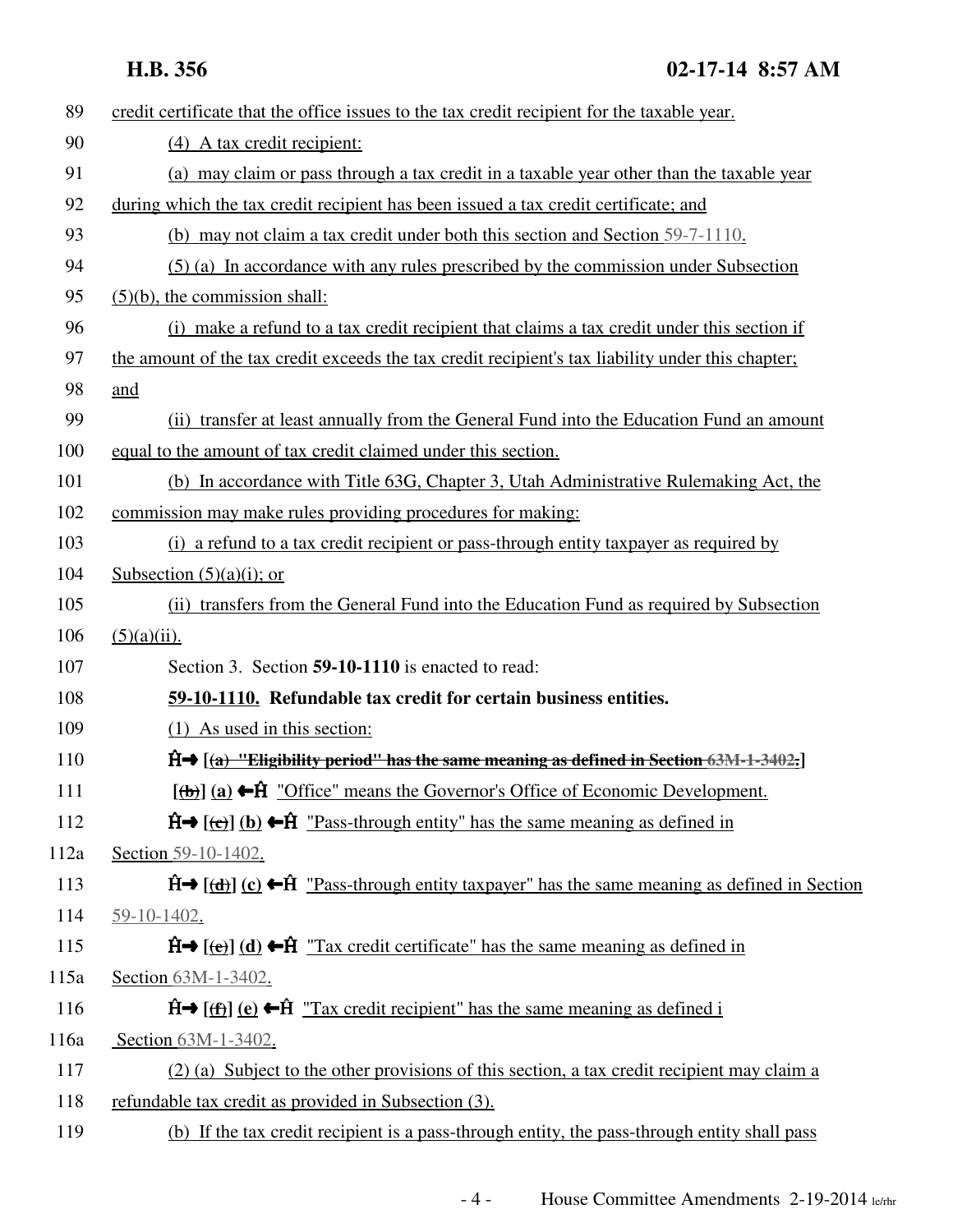| 89   | credit certificate that the office issues to the tax credit recipient for the taxable year.                          |
|------|----------------------------------------------------------------------------------------------------------------------|
| 90   | (4) A tax credit recipient:                                                                                          |
| 91   | (a) may claim or pass through a tax credit in a taxable year other than the taxable year                             |
| 92   | during which the tax credit recipient has been issued a tax credit certificate; and                                  |
| 93   | (b) may not claim a tax credit under both this section and Section 59-7-1110.                                        |
| 94   | (5) (a) In accordance with any rules prescribed by the commission under Subsection                                   |
| 95   | $(5)(b)$ , the commission shall:                                                                                     |
| 96   | (i) make a refund to a tax credit recipient that claims a tax credit under this section if                           |
| 97   | the amount of the tax credit exceeds the tax credit recipient's tax liability under this chapter;                    |
| 98   | and                                                                                                                  |
| 99   | (ii) transfer at least annually from the General Fund into the Education Fund an amount                              |
| 100  | equal to the amount of tax credit claimed under this section.                                                        |
| 101  | (b) In accordance with Title 63G, Chapter 3, Utah Administrative Rulemaking Act, the                                 |
| 102  | commission may make rules providing procedures for making:                                                           |
| 103  | (i) a refund to a tax credit recipient or pass-through entity taxpayer as required by                                |
| 104  | Subsection $(5)(a)(i)$ ; or                                                                                          |
| 105  | (ii) transfers from the General Fund into the Education Fund as required by Subsection                               |
| 106  | $(5)(a)(ii)$ .                                                                                                       |
| 107  | Section 3. Section 59-10-1110 is enacted to read:                                                                    |
| 108  | 59-10-1110. Refundable tax credit for certain business entities.                                                     |
| 109  | (1) As used in this section:                                                                                         |
| 110  | $\hat{H}$ $\rightarrow$ [(a) "Eligibility period" has the same meaning as defined in Section 63M-1-3402.]            |
| 111  | $[\frac{1}{2} \cdot \hat{H}]$ (a) $\leftarrow \hat{H}$ "Office" means the Governor's Office of Economic Development. |
| 112  | $\hat{H}$ ((c) (b) $\leftarrow \hat{H}$ "Pass-through entity" has the same meaning as defined in                     |
| 112a | Section 59-10-1402.                                                                                                  |
| 113  | $\hat{H}$ (d) (c) $\leftarrow \hat{H}$ "Pass-through entity taxpayer" has the same meaning as defined in Section     |
| 114  | 59-10-1402.                                                                                                          |
| 115  | $\hat{H}$ (e) (d) $\leftarrow \hat{H}$ "Tax credit certificate" has the same meaning as defined in                   |
| 115a | Section 63M-1-3402.                                                                                                  |
| 116  | $\hat{H}$ (f) (e) $\leftarrow$ $\hat{H}$ "Tax credit recipient" has the same meaning as defined i                    |
| 116a | Section 63M-1-3402.                                                                                                  |
| 117  | (2) (a) Subject to the other provisions of this section, a tax credit recipient may claim a                          |
| 118  | refundable tax credit as provided in Subsection (3).                                                                 |
| 119  | (b) If the tax credit recipient is a pass-through entity, the pass-through entity shall pass                         |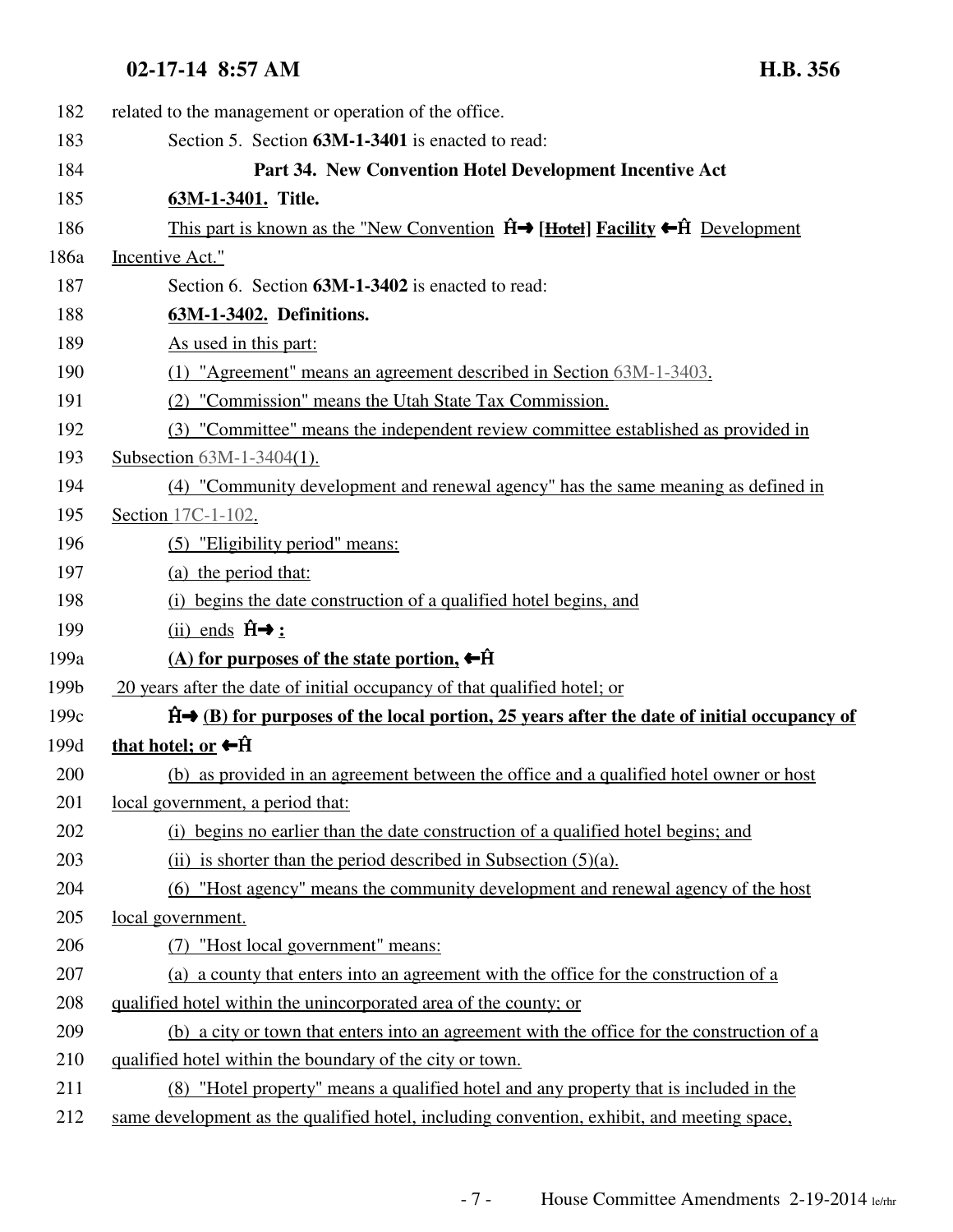## 02-17-14 8:57 AM

| <b>H.B. 3</b> | 56 |
|---------------|----|
|---------------|----|

| 182  | related to the management or operation of the office.                                                 |
|------|-------------------------------------------------------------------------------------------------------|
| 183  | Section 5. Section 63M-1-3401 is enacted to read:                                                     |
| 184  | Part 34. New Convention Hotel Development Incentive Act                                               |
| 185  | 63M-1-3401. Title.                                                                                    |
| 186  | This part is known as the "New Convention $\hat{H}$ [Hotel] Facility $\leftarrow \hat{H}$ Development |
| 186a | Incentive Act."                                                                                       |
| 187  | Section 6. Section 63M-1-3402 is enacted to read:                                                     |
| 188  | 63M-1-3402. Definitions.                                                                              |
| 189  | As used in this part:                                                                                 |
| 190  | (1) "Agreement" means an agreement described in Section 63M-1-3403.                                   |
| 191  | (2) "Commission" means the Utah State Tax Commission.                                                 |
| 192  | (3) "Committee" means the independent review committee established as provided in                     |
| 193  | Subsection 63M-1-3404(1).                                                                             |
| 194  | (4) "Community development and renewal agency" has the same meaning as defined in                     |
| 195  | Section 17C-1-102.                                                                                    |
| 196  | (5) "Eligibility period" means:                                                                       |
| 197  | (a) the period that:                                                                                  |
| 198  | (i) begins the date construction of a qualified hotel begins, and                                     |
| 199  | (ii) ends $\hat{H} \rightarrow \underline{H}$                                                         |
| 199a | (A) for purposes of the state portion, $\leftarrow$ $\hat{H}$                                         |
| 199b | 20 years after the date of initial occupancy of that qualified hotel; or                              |
| 199c | $\hat{H}$ (B) for purposes of the local portion, 25 years after the date of initial occupancy of      |
| 199d | that hotel; or $\leftarrow \hat{H}$                                                                   |
| 200  | (b) as provided in an agreement between the office and a qualified hotel owner or host                |
| 201  | local government, a period that:                                                                      |
| 202  | (i) begins no earlier than the date construction of a qualified hotel begins; and                     |
| 203  | (ii) is shorter than the period described in Subsection $(5)(a)$ .                                    |
| 204  | (6) "Host agency" means the community development and renewal agency of the host                      |
| 205  | local government.                                                                                     |
| 206  | (7) "Host local government" means:                                                                    |
| 207  | (a) a county that enters into an agreement with the office for the construction of a                  |
| 208  | qualified hotel within the unincorporated area of the county; or                                      |
| 209  | (b) a city or town that enters into an agreement with the office for the construction of a            |
| 210  | qualified hotel within the boundary of the city or town.                                              |
| 211  | (8) "Hotel property" means a qualified hotel and any property that is included in the                 |
| 212  | same development as the qualified hotel, including convention, exhibit, and meeting space,            |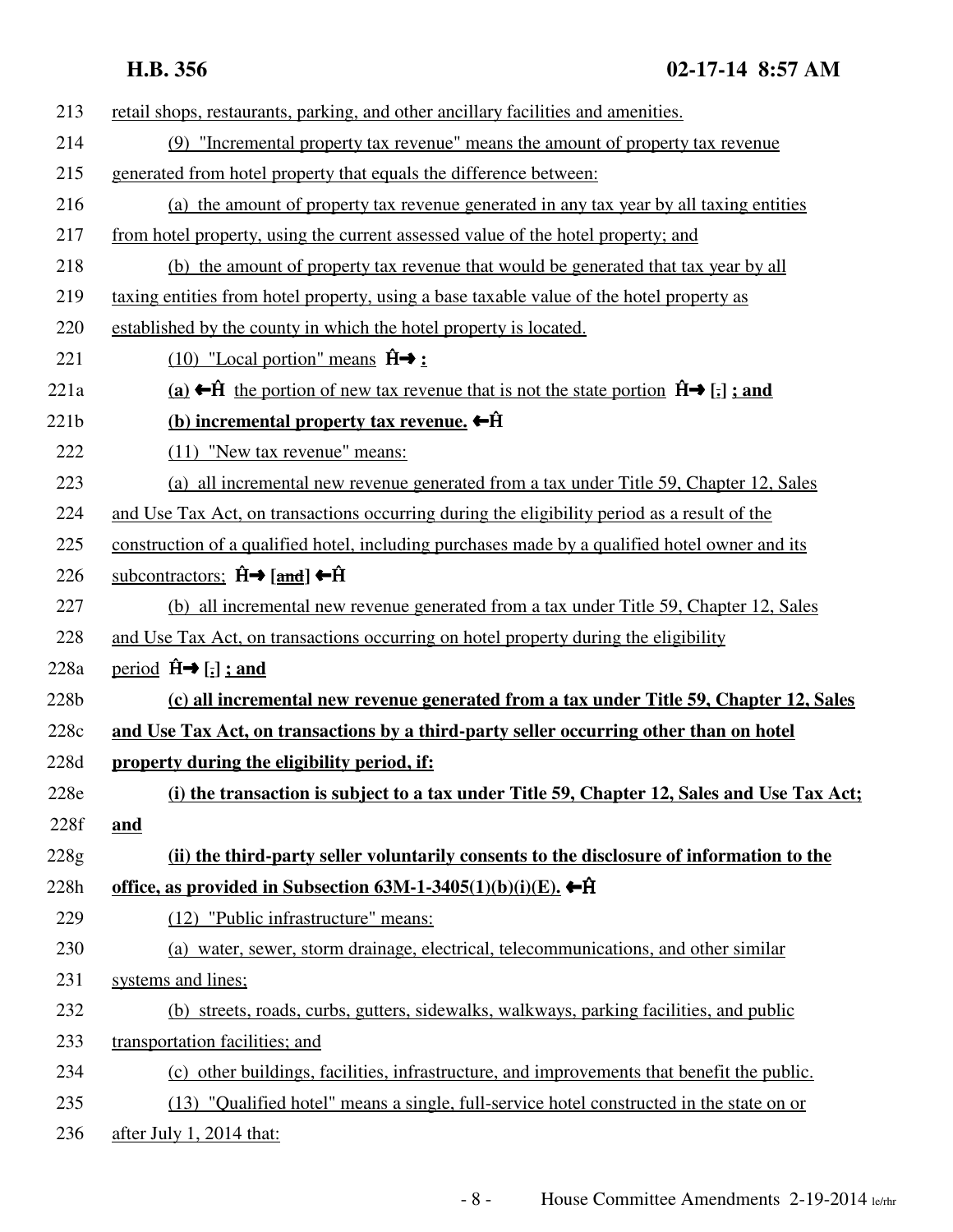| 213  | retail shops, restaurants, parking, and other ancillary facilities and amenities.                                                           |
|------|---------------------------------------------------------------------------------------------------------------------------------------------|
| 214  | (9) "Incremental property tax revenue" means the amount of property tax revenue                                                             |
| 215  | generated from hotel property that equals the difference between:                                                                           |
| 216  | (a) the amount of property tax revenue generated in any tax year by all taxing entities                                                     |
| 217  | from hotel property, using the current assessed value of the hotel property; and                                                            |
| 218  | (b) the amount of property tax revenue that would be generated that tax year by all                                                         |
| 219  | taxing entities from hotel property, using a base taxable value of the hotel property as                                                    |
| 220  | established by the county in which the hotel property is located.                                                                           |
| 221  | $(10)$ "Local portion" means $\hat{H} \rightarrow \hat{H}$                                                                                  |
| 221a | (a) ← ft the portion of new tax revenue that is not the state portion $\hat{H} \rightarrow \begin{bmatrix} \cdot \cdot \end{bmatrix}$ ; and |
| 221b | (b) incremental property tax revenue. $\leftarrow \hat{H}$                                                                                  |
| 222  | $(11)$ "New tax revenue" means:                                                                                                             |
| 223  | (a) all incremental new revenue generated from a tax under Title 59, Chapter 12, Sales                                                      |
| 224  | and Use Tax Act, on transactions occurring during the eligibility period as a result of the                                                 |
| 225  | construction of a qualified hotel, including purchases made by a qualified hotel owner and its                                              |
| 226  | subcontractors; $\hat{H} \rightarrow$ [and] $\leftarrow \hat{H}$                                                                            |
| 227  | (b) all incremental new revenue generated from a tax under Title 59, Chapter 12, Sales                                                      |
| 228  | and Use Tax Act, on transactions occurring on hotel property during the eligibility                                                         |
| 228a | period $\hat{H} \rightarrow [\frac{1}{2}]$ ; and                                                                                            |
| 228b | (c) all incremental new revenue generated from a tax under Title 59, Chapter 12, Sales                                                      |
| 228c | and Use Tax Act, on transactions by a third-party seller occurring other than on hotel                                                      |
| 228d | property during the eligibility period, if:                                                                                                 |
| 228e | (i) the transaction is subject to a tax under Title 59, Chapter 12, Sales and Use Tax Act;                                                  |
| 228f | and                                                                                                                                         |
| 228g | (ii) the third-party seller voluntarily consents to the disclosure of information to the                                                    |
| 228h | office, as provided in Subsection 63M-1-3405(1)(b)(i)(E). ←Ĥ                                                                                |
| 229  | (12) "Public infrastructure" means:                                                                                                         |
| 230  | (a) water, sewer, storm drainage, electrical, telecommunications, and other similar                                                         |
| 231  | systems and lines;                                                                                                                          |
| 232  | (b) streets, roads, curbs, gutters, sidewalks, walkways, parking facilities, and public                                                     |
| 233  | transportation facilities; and                                                                                                              |
| 234  | (c) other buildings, facilities, infrastructure, and improvements that benefit the public.                                                  |
| 235  | (13) "Qualified hotel" means a single, full-service hotel constructed in the state on or                                                    |
| 236  | after July 1, 2014 that:                                                                                                                    |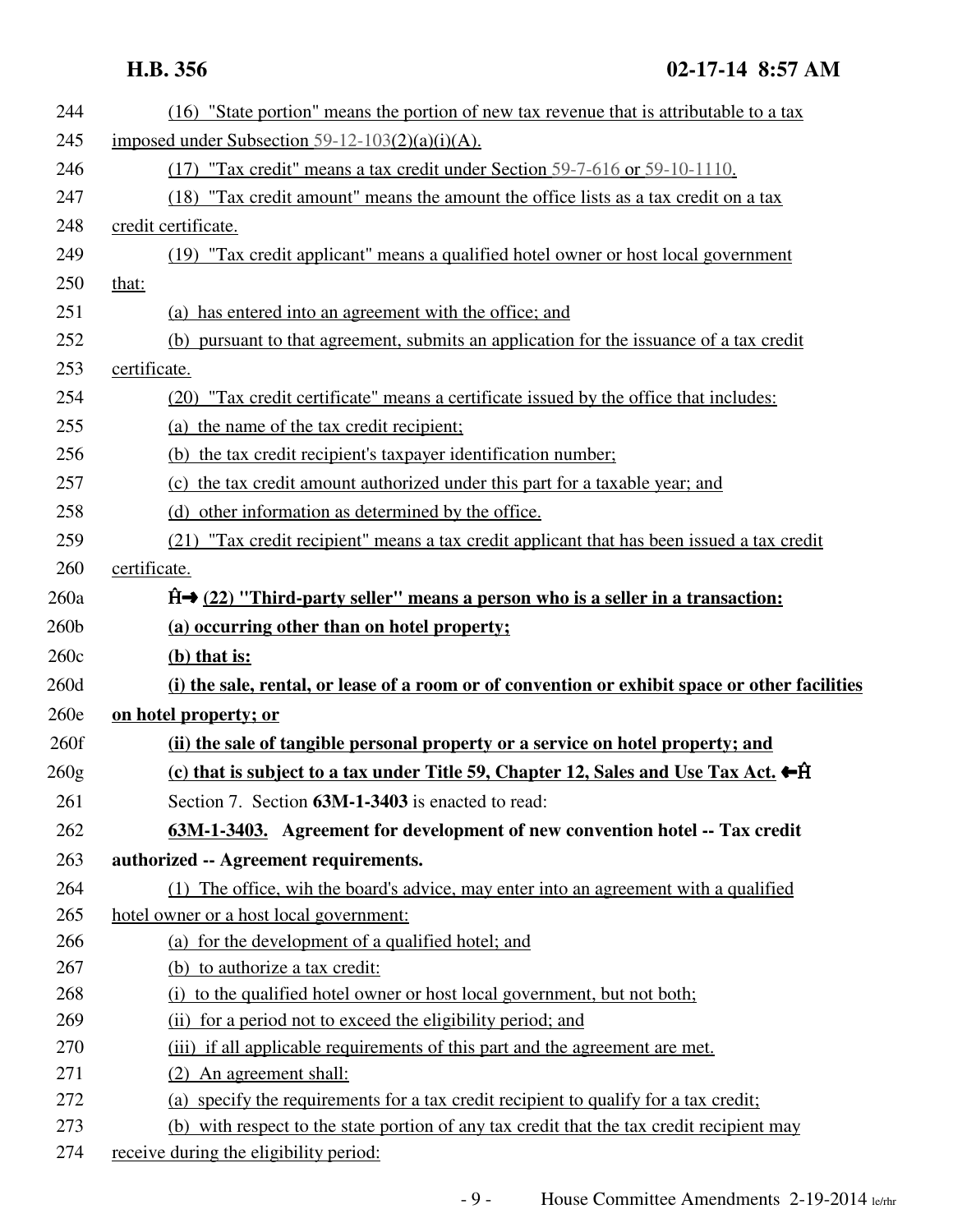| 244          | (16) "State portion" means the portion of new tax revenue that is attributable to a tax                              |
|--------------|----------------------------------------------------------------------------------------------------------------------|
| 245          | imposed under Subsection 59-12-103(2)(a)(i)(A).                                                                      |
| 246          | (17) "Tax credit" means a tax credit under Section 59-7-616 or 59-10-1110.                                           |
| 247          | (18) "Tax credit amount" means the amount the office lists as a tax credit on a tax                                  |
| 248          | credit certificate.                                                                                                  |
| 249          | (19) "Tax credit applicant" means a qualified hotel owner or host local government                                   |
| 250          | that:                                                                                                                |
| 251          | (a) has entered into an agreement with the office; and                                                               |
| 252          | (b) pursuant to that agreement, submits an application for the issuance of a tax credit                              |
| 253          | certificate.                                                                                                         |
| 254          | (20) "Tax credit certificate" means a certificate issued by the office that includes:                                |
| 255          | (a) the name of the tax credit recipient;                                                                            |
| 256          | (b) the tax credit recipient's taxpayer identification number;                                                       |
| 257          | (c) the tax credit amount authorized under this part for a taxable year; and                                         |
| 258          | (d) other information as determined by the office.                                                                   |
| 259          | (21) "Tax credit recipient" means a tax credit applicant that has been issued a tax credit                           |
| 260          | certificate.                                                                                                         |
| 260a         | $\hat{H}$ (22) "Third-party seller" means a person who is a seller in a transaction:                                 |
| 260b         | (a) occurring other than on hotel property;                                                                          |
|              |                                                                                                                      |
| 260c         |                                                                                                                      |
|              | $(b)$ that is:                                                                                                       |
| 260d<br>260e | (i) the sale, rental, or lease of a room or of convention or exhibit space or other facilities                       |
| 260f         | on hotel property; or                                                                                                |
|              | (ii) the sale of tangible personal property or a service on hotel property; and                                      |
| 260g         | (c) that is subject to a tax under Title 59, Chapter 12, Sales and Use Tax Act. $\leftarrow$ $\hat{H}$               |
| 261<br>262   | Section 7. Section 63M-1-3403 is enacted to read:                                                                    |
| 263          | 63M-1-3403. Agreement for development of new convention hotel -- Tax credit<br>authorized -- Agreement requirements. |
| 264          | (1) The office, wih the board's advice, may enter into an agreement with a qualified                                 |
| 265          | hotel owner or a host local government:                                                                              |
| 266          | (a) for the development of a qualified hotel; and                                                                    |
| 267          | (b) to authorize a tax credit:                                                                                       |
| 268          | (i) to the qualified hotel owner or host local government, but not both;                                             |
| 269          | (ii) for a period not to exceed the eligibility period; and                                                          |
| 270          | (iii) if all applicable requirements of this part and the agreement are met.                                         |
| 271          | (2) An agreement shall:                                                                                              |
| 272          | (a) specify the requirements for a tax credit recipient to qualify for a tax credit;                                 |
| 273          | (b) with respect to the state portion of any tax credit that the tax credit recipient may                            |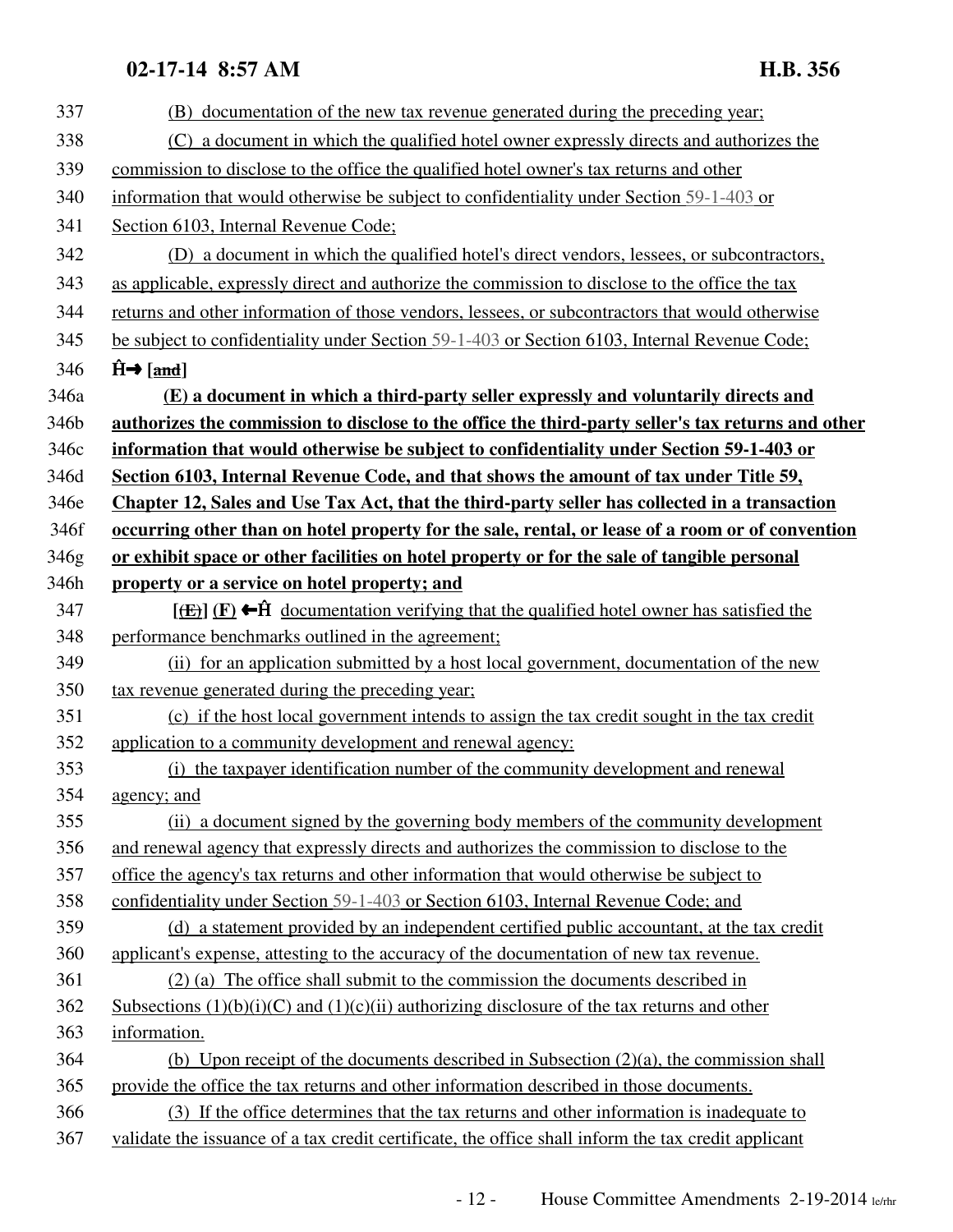## **02-17-14 8:57 AM H.B. 356**

| 337  | (B) documentation of the new tax revenue generated during the preceding year;                                                |
|------|------------------------------------------------------------------------------------------------------------------------------|
| 338  | (C) a document in which the qualified hotel owner expressly directs and authorizes the                                       |
| 339  | commission to disclose to the office the qualified hotel owner's tax returns and other                                       |
| 340  | information that would otherwise be subject to confidentiality under Section 59-1-403 or                                     |
| 341  | Section 6103, Internal Revenue Code;                                                                                         |
| 342  | (D) a document in which the qualified hotel's direct vendors, lessees, or subcontractors,                                    |
| 343  | as applicable, expressly direct and authorize the commission to disclose to the office the tax                               |
| 344  | returns and other information of those vendors, lessees, or subcontractors that would otherwise                              |
| 345  | be subject to confidentiality under Section 59-1-403 or Section 6103, Internal Revenue Code;                                 |
| 346  | $\hat{H} \rightarrow$ [and]                                                                                                  |
| 346a | (E) a document in which a third-party seller expressly and voluntarily directs and                                           |
| 346b | authorizes the commission to disclose to the office the third-party seller's tax returns and other                           |
| 346c | information that would otherwise be subject to confidentiality under Section 59-1-403 or                                     |
| 346d | Section 6103, Internal Revenue Code, and that shows the amount of tax under Title 59,                                        |
| 346e | Chapter 12, Sales and Use Tax Act, that the third-party seller has collected in a transaction                                |
| 346f | occurring other than on hotel property for the sale, rental, or lease of a room or of convention                             |
| 346g | or exhibit space or other facilities on hotel property or for the sale of tangible personal                                  |
| 346h | property or a service on hotel property; and                                                                                 |
| 347  | $[\frac{f(E)}{E}]$ (F) $\leftarrow \hat{H}$ documentation verifying that the qualified hotel owner has satisfied the         |
| 348  | performance benchmarks outlined in the agreement;                                                                            |
| 349  | (ii) for an application submitted by a host local government, documentation of the new                                       |
| 350  | tax revenue generated during the preceding year;                                                                             |
| 351  | (c) if the host local government intends to assign the tax credit sought in the tax credit                                   |
| 352  | application to a community development and renewal agency:                                                                   |
| 353  | (i) the taxpayer identification number of the community development and renewal                                              |
| 354  | <u>agency; and</u>                                                                                                           |
| 355  | (ii) a document signed by the governing body members of the community development                                            |
| 356  | and renewal agency that expressly directs and authorizes the commission to disclose to the                                   |
| 357  | office the agency's tax returns and other information that would otherwise be subject to                                     |
| 358  | confidentiality under Section 59-1-403 or Section 6103, Internal Revenue Code; and                                           |
| 359  | (d) a statement provided by an independent certified public accountant, at the tax credit                                    |
| 360  | applicant's expense, attesting to the accuracy of the documentation of new tax revenue.                                      |
| 361  | (2) (a) The office shall submit to the commission the documents described in                                                 |
| 362  | <u>Subsections <math>(1)(b)(i)(C)</math> and <math>(1)(c)(ii)</math> authorizing disclosure of the tax returns and other</u> |
| 363  | information.                                                                                                                 |
| 364  | (b) Upon receipt of the documents described in Subsection $(2)(a)$ , the commission shall                                    |
| 365  | provide the office the tax returns and other information described in those documents.                                       |
| 366  | (3) If the office determines that the tax returns and other information is inadequate to                                     |
| 367  | validate the issuance of a tax credit certificate, the office shall inform the tax credit applicant                          |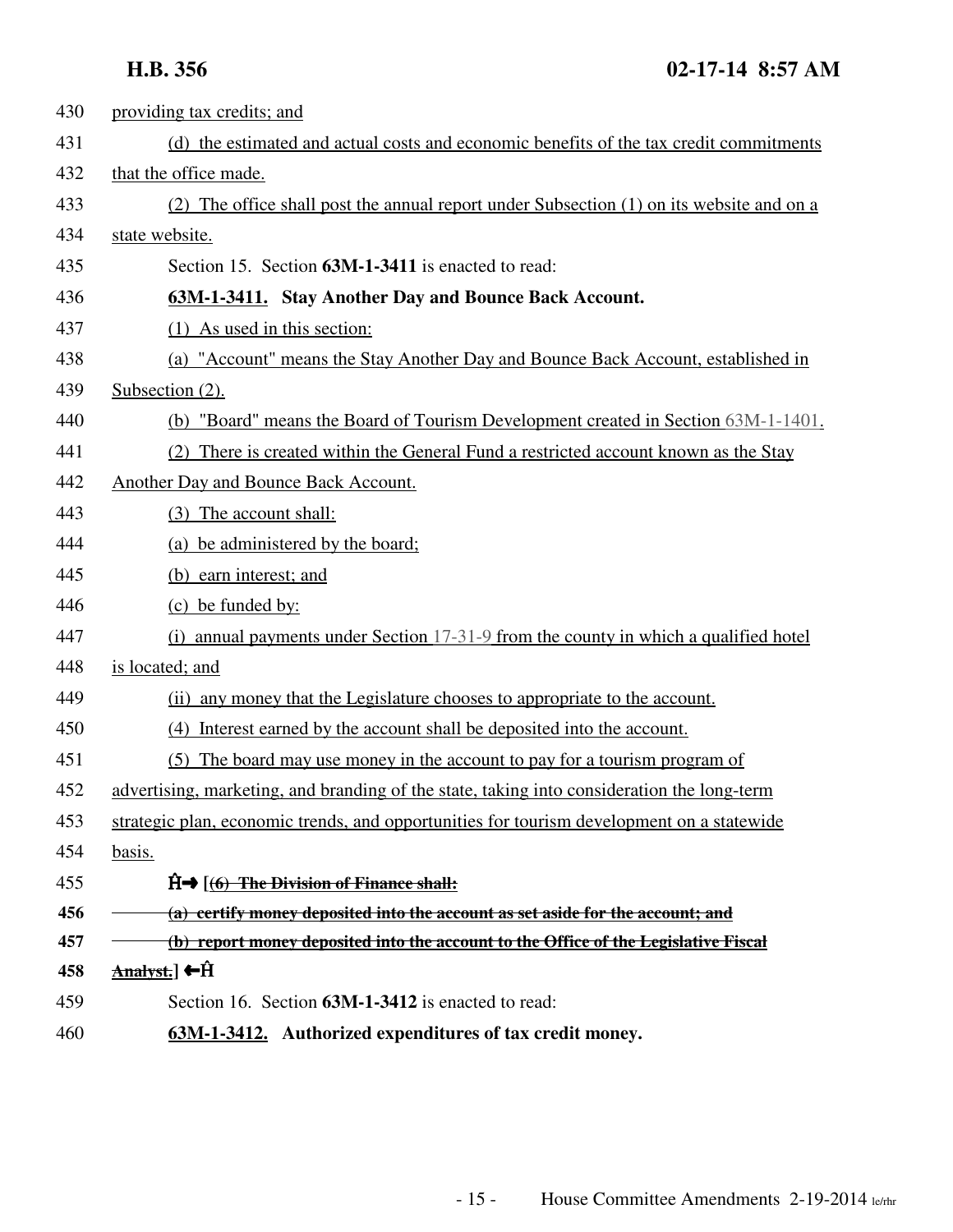| 430 | providing tax credits; and                                                                 |
|-----|--------------------------------------------------------------------------------------------|
| 431 | (d) the estimated and actual costs and economic benefits of the tax credit commitments     |
| 432 | that the office made.                                                                      |
| 433 | (2) The office shall post the annual report under Subsection (1) on its website and on a   |
| 434 | state website.                                                                             |
| 435 | Section 15. Section 63M-1-3411 is enacted to read:                                         |
| 436 | 63M-1-3411. Stay Another Day and Bounce Back Account.                                      |
| 437 | (1) As used in this section:                                                               |
| 438 | (a) "Account" means the Stay Another Day and Bounce Back Account, established in           |
| 439 | Subsection $(2)$ .                                                                         |
| 440 | (b) "Board" means the Board of Tourism Development created in Section 63M-1-1401.          |
| 441 | (2) There is created within the General Fund a restricted account known as the Stay        |
| 442 | Another Day and Bounce Back Account.                                                       |
| 443 | (3) The account shall:                                                                     |
| 444 | (a) be administered by the board;                                                          |
| 445 | (b) earn interest; and                                                                     |
| 446 | (c) be funded by:                                                                          |
| 447 | (i) annual payments under Section $17-31-9$ from the county in which a qualified hotel     |
| 448 | is located; and                                                                            |
| 449 | (ii) any money that the Legislature chooses to appropriate to the account.                 |
| 450 | (4) Interest earned by the account shall be deposited into the account.                    |
| 451 | The board may use money in the account to pay for a tourism program of<br>(5)              |
| 452 | advertising, marketing, and branding of the state, taking into consideration the long-term |
| 453 | strategic plan, economic trends, and opportunities for tourism development on a statewide  |
| 454 | basis.                                                                                     |
| 455 | $\hat{H} \rightarrow$ $(6)$ The Division of Finance shall:                                 |
| 456 | (a) certify money deposited into the account as set aside for the account; and             |
| 457 | (b) report money deposited into the account to the Office of the Legislative Fiscal        |
| 458 | <u>Analyst.</u> ] ←Ĥ                                                                       |
| 459 | Section 16. Section 63M-1-3412 is enacted to read:                                         |
| 460 | 63M-1-3412. Authorized expenditures of tax credit money.                                   |